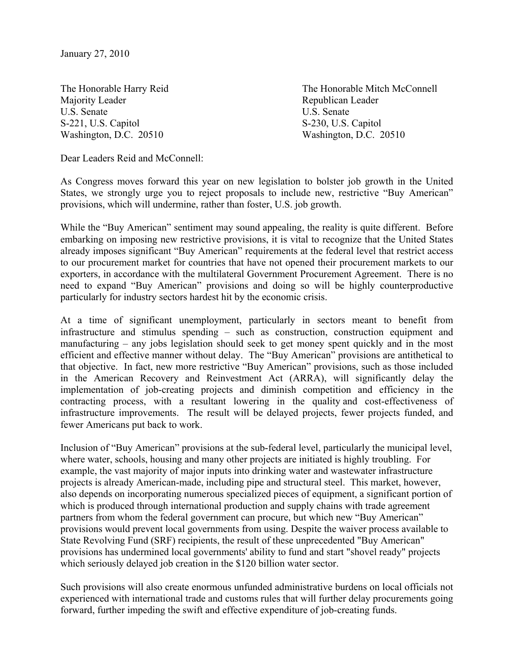Majority Leader **Republican Leader** Republican Leader U.S. Senate U.S. Senate S-221, U.S. Capitol S-230, U.S. Capitol Washington, D.C. 20510 Washington, D.C. 20510

The Honorable Harry Reid The Honorable Mitch McConnell

Dear Leaders Reid and McConnell:

As Congress moves forward this year on new legislation to bolster job growth in the United States, we strongly urge you to reject proposals to include new, restrictive "Buy American" provisions, which will undermine, rather than foster, U.S. job growth.

While the "Buy American" sentiment may sound appealing, the reality is quite different. Before embarking on imposing new restrictive provisions, it is vital to recognize that the United States already imposes significant "Buy American" requirements at the federal level that restrict access to our procurement market for countries that have not opened their procurement markets to our exporters, in accordance with the multilateral Government Procurement Agreement. There is no need to expand "Buy American" provisions and doing so will be highly counterproductive particularly for industry sectors hardest hit by the economic crisis.

At a time of significant unemployment, particularly in sectors meant to benefit from infrastructure and stimulus spending – such as construction, construction equipment and manufacturing – any jobs legislation should seek to get money spent quickly and in the most efficient and effective manner without delay. The "Buy American" provisions are antithetical to that objective. In fact, new more restrictive "Buy American" provisions, such as those included in the American Recovery and Reinvestment Act (ARRA), will significantly delay the implementation of job-creating projects and diminish competition and efficiency in the contracting process, with a resultant lowering in the quality and cost-effectiveness of infrastructure improvements. The result will be delayed projects, fewer projects funded, and fewer Americans put back to work.

Inclusion of "Buy American" provisions at the sub-federal level, particularly the municipal level, where water, schools, housing and many other projects are initiated is highly troubling. For example, the vast majority of major inputs into drinking water and wastewater infrastructure projects is already American-made, including pipe and structural steel. This market, however, also depends on incorporating numerous specialized pieces of equipment, a significant portion of which is produced through international production and supply chains with trade agreement partners from whom the federal government can procure, but which new "Buy American" provisions would prevent local governments from using. Despite the waiver process available to State Revolving Fund (SRF) recipients, the result of these unprecedented "Buy American" provisions has undermined local governments' ability to fund and start "shovel ready" projects which seriously delayed job creation in the \$120 billion water sector.

Such provisions will also create enormous unfunded administrative burdens on local officials not experienced with international trade and customs rules that will further delay procurements going forward, further impeding the swift and effective expenditure of job-creating funds.